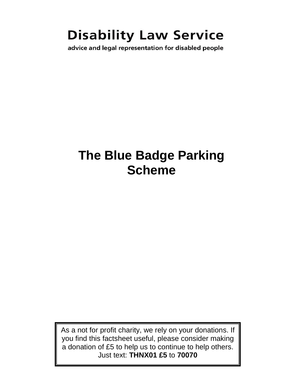# **Disability Law Service**

advice and legal representation for disabled people

# **The Blue Badge Parking Scheme**

As a not for profit charity, we rely on your donations. If you find this factsheet useful, please consider making a donation of £5 to help us to continue to help others. Just text: **THNX01 £5** to **70070**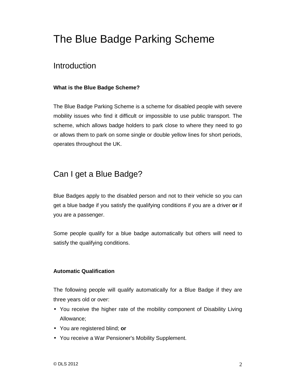## The Blue Badge Parking Scheme

## Introduction

#### **What is the Blue Badge Scheme?**

The Blue Badge Parking Scheme is a scheme for disabled people with severe mobility issues who find it difficult or impossible to use public transport. The scheme, which allows badge holders to park close to where they need to go or allows them to park on some single or double yellow lines for short periods, operates throughout the UK.

## Can I get a Blue Badge?

Blue Badges apply to the disabled person and not to their vehicle so you can get a blue badge if you satisfy the qualifying conditions if you are a driver **or** if you are a passenger.

Some people qualify for a blue badge automatically but others will need to satisfy the qualifying conditions.

#### **Automatic Qualification**

The following people will qualify automatically for a Blue Badge if they are three years old or over:

- You receive the higher rate of the mobility component of Disability Living Allowance;
- You are registered blind; **or**
- You receive a War Pensioner's Mobility Supplement.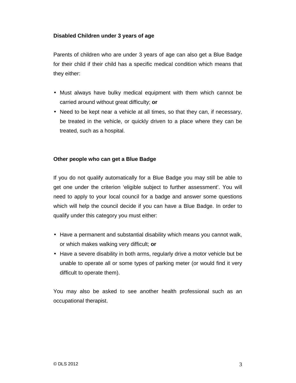#### **Disabled Children under 3 years of age**

Parents of children who are under 3 years of age can also get a Blue Badge for their child if their child has a specific medical condition which means that they either:

- Must always have bulky medical equipment with them which cannot be carried around without great difficulty; **or**
- Need to be kept near a vehicle at all times, so that they can, if necessary, be treated in the vehicle, or quickly driven to a place where they can be treated, such as a hospital.

#### **Other people who can get a Blue Badge**

If you do not qualify automatically for a Blue Badge you may still be able to get one under the criterion 'eligible subject to further assessment'. You will need to apply to your local council for a badge and answer some questions which will help the council decide if you can have a Blue Badge. In order to qualify under this category you must either:

- Have a permanent and substantial disability which means you cannot walk, or which makes walking very difficult; **or**
- Have a severe disability in both arms, regularly drive a motor vehicle but be unable to operate all or some types of parking meter (or would find it very difficult to operate them).

You may also be asked to see another health professional such as an occupational therapist.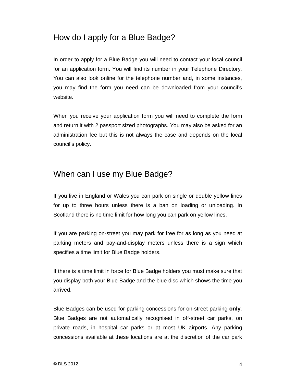## How do I apply for a Blue Badge?

In order to apply for a Blue Badge you will need to contact your local council for an application form. You will find its number in your Telephone Directory. You can also look online for the telephone number and, in some instances, you may find the form you need can be downloaded from your council's website.

When you receive your application form you will need to complete the form and return it with 2 passport sized photographs. You may also be asked for an administration fee but this is not always the case and depends on the local council's policy.

### When can I use my Blue Badge?

If you live in England or Wales you can park on single or double yellow lines for up to three hours unless there is a ban on loading or unloading. In Scotland there is no time limit for how long you can park on yellow lines.

If you are parking on-street you may park for free for as long as you need at parking meters and pay-and-display meters unless there is a sign which specifies a time limit for Blue Badge holders.

If there is a time limit in force for Blue Badge holders you must make sure that you display both your Blue Badge and the blue disc which shows the time you arrived.

Blue Badges can be used for parking concessions for on-street parking **only**. Blue Badges are not automatically recognised in off-street car parks, on private roads, in hospital car parks or at most UK airports. Any parking concessions available at these locations are at the discretion of the car park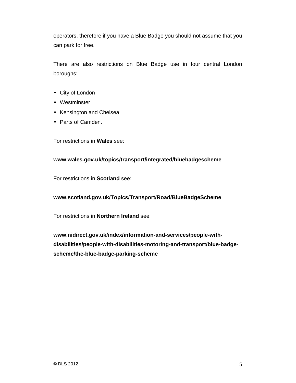operators, therefore if you have a Blue Badge you should not assume that you can park for free.

There are also restrictions on Blue Badge use in four central London boroughs:

- City of London
- Westminster
- Kensington and Chelsea
- Parts of Camden.

For restrictions in **Wales** see:

#### **www.wales.gov.uk/topics/transport/integrated/bluebadgescheme**

For restrictions in **Scotland** see:

**www.scotland.gov.uk/Topics/Transport/Road/BlueBadgeScheme** 

For restrictions in **Northern Ireland** see:

**www.nidirect.gov.uk/index/information-and-services/people-withdisabilities/people-with-disabilities-motoring-and-transport/blue-badgescheme/the-blue-badge-parking-scheme**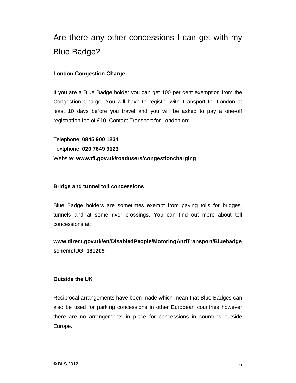## Are there any other concessions I can get with my Blue Badge?

#### **London Congestion Charge**

If you are a Blue Badge holder you can get 100 per cent exemption from the Congestion Charge. You will have to register with Transport for London at least 10 days before you travel and you will be asked to pay a one-off registration fee of £10. Contact Transport for London on:

Telephone: **0845 900 1234**  Textphone: **020 7649 9123** Website: **www.tfl.gov.uk/roadusers/congestioncharging** 

#### **Bridge and tunnel toll concessions**

Blue Badge holders are sometimes exempt from paying tolls for bridges, tunnels and at some river crossings. You can find out more about toll concessions at:

#### **www.direct.gov.uk/en/DisabledPeople/MotoringAndTransport/Bluebadge scheme/DG\_181209**

#### **Outside the UK**

Reciprocal arrangements have been made which mean that Blue Badges can also be used for parking concessions in other European countries however there are no arrangements in place for concessions in countries outside Europe.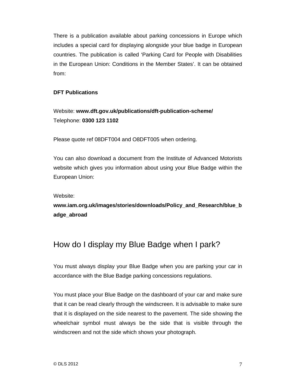There is a publication available about parking concessions in Europe which includes a special card for displaying alongside your blue badge in European countries. The publication is called 'Parking Card for People with Disabilities in the European Union: Conditions in the Member States'. It can be obtained from:

#### **DFT Publications**

Website: **www.dft.gov.uk/publications/dft-publication-scheme/** Telephone: **0300 123 1102**

Please quote ref 08DFT004 and O8DFT005 when ordering.

You can also download a document from the Institute of Advanced Motorists website which gives you information about using your Blue Badge within the European Union:

Website:

**www.iam.org.uk/images/stories/downloads/Policy\_and\_Research/blue\_b adge\_abroad** 

## How do I display my Blue Badge when I park?

You must always display your Blue Badge when you are parking your car in accordance with the Blue Badge parking concessions regulations.

You must place your Blue Badge on the dashboard of your car and make sure that it can be read clearly through the windscreen. It is advisable to make sure that it is displayed on the side nearest to the pavement. The side showing the wheelchair symbol must always be the side that is visible through the windscreen and not the side which shows your photograph.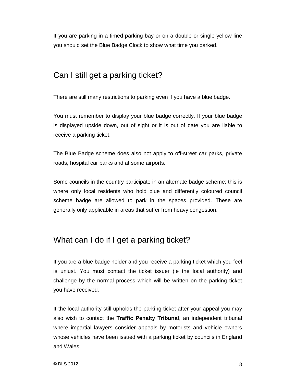If you are parking in a timed parking bay or on a double or single yellow line you should set the Blue Badge Clock to show what time you parked.

### Can I still get a parking ticket?

There are still many restrictions to parking even if you have a blue badge.

You must remember to display your blue badge correctly. If your blue badge is displayed upside down, out of sight or it is out of date you are liable to receive a parking ticket.

The Blue Badge scheme does also not apply to off-street car parks, private roads, hospital car parks and at some airports.

Some councils in the country participate in an alternate badge scheme; this is where only local residents who hold blue and differently coloured council scheme badge are allowed to park in the spaces provided. These are generally only applicable in areas that suffer from heavy congestion.

## What can I do if I get a parking ticket?

If you are a blue badge holder and you receive a parking ticket which you feel is unjust. You must contact the ticket issuer (ie the local authority) and challenge by the normal process which will be written on the parking ticket you have received.

If the local authority still upholds the parking ticket after your appeal you may also wish to contact the **Traffic Penalty Tribunal**, an independent tribunal where impartial lawyers consider appeals by motorists and vehicle owners whose vehicles have been issued with a parking ticket by councils in England and Wales.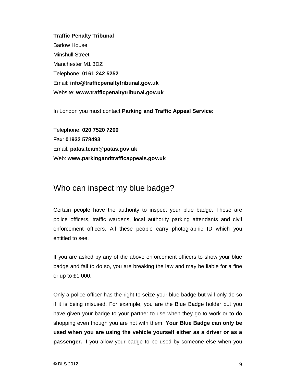**Traffic Penalty Tribunal**  Barlow House Minshull Street Manchester M1 3DZ Telephone: **0161 242 5252**  Email: **info@trafficpenaltytribunal.gov.uk**  Website: **www.trafficpenaltytribunal.gov.uk** 

In London you must contact **Parking and Traffic Appeal Service**:

Telephone: **020 7520 7200**  Fax: **01932 578493**  Email: **patas.team@patas.gov.uk** Web: **www.parkingandtrafficappeals.gov.uk**

## Who can inspect my blue badge?

Certain people have the authority to inspect your blue badge. These are police officers, traffic wardens, local authority parking attendants and civil enforcement officers. All these people carry photographic ID which you entitled to see.

If you are asked by any of the above enforcement officers to show your blue badge and fail to do so, you are breaking the law and may be liable for a fine or up to £1,000.

Only a police officer has the right to seize your blue badge but will only do so if it is being misused. For example, you are the Blue Badge holder but you have given your badge to your partner to use when they go to work or to do shopping even though you are not with them. **Your Blue Badge can only be used when you are using the vehicle yourself either as a driver or as a passenger.** If you allow your badge to be used by someone else when you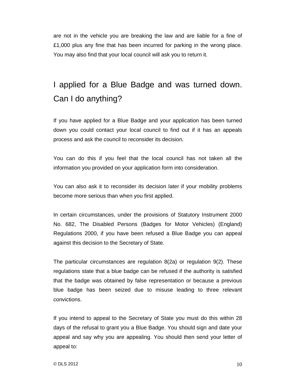are not in the vehicle you are breaking the law and are liable for a fine of £1,000 plus any fine that has been incurred for parking in the wrong place. You may also find that your local council will ask you to return it.

## I applied for a Blue Badge and was turned down. Can I do anything?

If you have applied for a Blue Badge and your application has been turned down you could contact your local council to find out if it has an appeals process and ask the council to reconsider its decision.

You can do this if you feel that the local council has not taken all the information you provided on your application form into consideration.

You can also ask it to reconsider its decision later if your mobility problems become more serious than when you first applied.

In certain circumstances, under the provisions of Statutory Instrument 2000 No. 682, The Disabled Persons (Badges for Motor Vehicles) (England) Regulations 2000, if you have been refused a Blue Badge you can appeal against this decision to the Secretary of State.

The particular circumstances are regulation 8(2a) or regulation 9(2). These regulations state that a blue badge can be refused if the authority is satisfied that the badge was obtained by false representation or because a previous blue badge has been seized due to misuse leading to three relevant convictions.

If you intend to appeal to the Secretary of State you must do this within 28 days of the refusal to grant you a Blue Badge. You should sign and date your appeal and say why you are appealing. You should then send your letter of appeal to: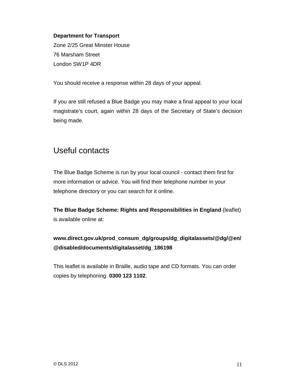#### **Department for Transport**

Zone 2/25 Great Minster House 76 Marsham Street London SW1P 4DR

You should receive a response within 28 days of your appeal.

If you are still refused a Blue Badge you may make a final appeal to your local magistrate's court, again within 28 days of the Secretary of State's decision being made.

## Useful contacts

The Blue Badge Scheme is run by your local council - contact them first for more information or advice. You will find their telephone number in your telephone directory or you can search for it online.

**The Blue Badge Scheme: Rights and Responsibilities in England** (leaflet) is available online at:

### **www.direct.gov.uk/prod\_consum\_dg/groups/dg\_digitalassets/@dg/@en/ @disabled/documents/digitalasset/dg\_186198**

This leaflet is available in Braille, audio tape and CD formats. You can order copies by telephoning: **0300 123 1102**.